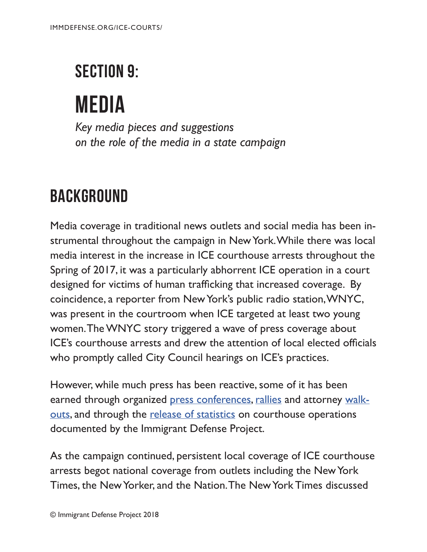## SECTION 9:

# media

*Key media pieces and suggestions on the role of the media in a state campaign*

### **BACKGROUND**

Media coverage in traditional news outlets and social media has been instrumental throughout the campaign in New York. While there was local media interest in the increase in ICE courthouse arrests throughout the Spring of 2017, it was a particularly abhorrent ICE operation in a court designed for victims of human trafficking that increased coverage. By coincidence, a reporter from New York's public radio station, WNYC, was present in the courtroom when ICE targeted at least two young women. The WNYC story triggered a wave of press coverage about ICE's courthouse arrests and drew the attention of local elected officials who promptly called City Council hearings on ICE's practices.

However, while much press has been reactive, some of it has been earned through organized [press conferences](https://www.amny.com/news/ice-courthouse-arrests-immigrants-1.18967615), [rallies](http://www.ny1.com/nyc/all-boroughs/news/2017/06/22/immigration-advocates-push-back-against-ice-raids-after-queens-courthouse-incident.html) and attorney [walk](http://www.nydailynews.com/new-york/brooklyn/ice-grabs-immigrant-brooklyn-courthouse-prompting-protest-article-1.3918642)[outs](http://www.nydailynews.com/new-york/brooklyn/ice-grabs-immigrant-brooklyn-courthouse-prompting-protest-article-1.3918642), and through the [release of statistics](http://www.nydailynews.com/new-york/ice-courthouse-arrests-immigrants-900-n-y-2017-article-1.3633463) on courthouse operations documented by the Immigrant Defense Project.

As the campaign continued, persistent local coverage of ICE courthouse arrests begot national coverage from outlets including the New York Times, the New Yorker, and the Nation. The New York Times discussed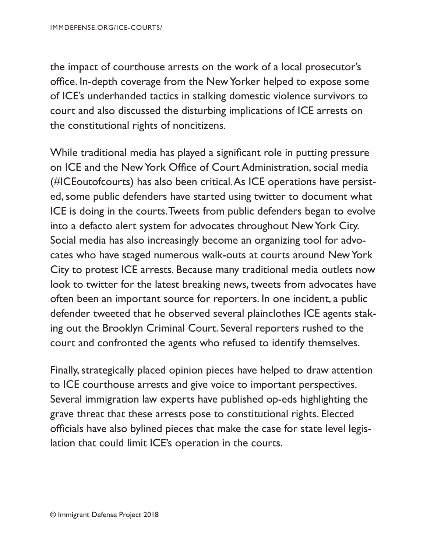the impact of courthouse arrests on the work of a local prosecutor's office. In-depth coverage from the New Yorker helped to expose some of ICE's underhanded tactics in stalking domestic violence survivors to court and also discussed the disturbing implications of ICE arrests on the constitutional rights of noncitizens.

While traditional media has played a signifcant role in putting pressure on ICE and the New York Office of Court Administration, social media (#ICEoutofcourts) has also been critical. As ICE operations have persisted, some public defenders have started using twitter to document what ICE is doing in the courts. Tweets from public defenders began to evolve into a defacto alert system for advocates throughout New York City. Social media has also increasingly become an organizing tool for advocates who have staged numerous walk-outs at courts around New York City to protest ICE arrests. Because many traditional media outlets now look to twitter for the latest breaking news, tweets from advocates have often been an important source for reporters. In one incident, a public defender tweeted that he observed several plainclothes ICE agents staking out the Brooklyn Criminal Court. Several reporters rushed to the court and confronted the agents who refused to identify themselves.

Finally, strategically placed opinion pieces have helped to draw attention to ICE courthouse arrests and give voice to important perspectives. Several immigration law experts have published op-eds highlighting the grave threat that these arrests pose to constitutional rights. Elected officials have also bylined pieces that make the case for state level legislation that could limit ICE's operation in the courts.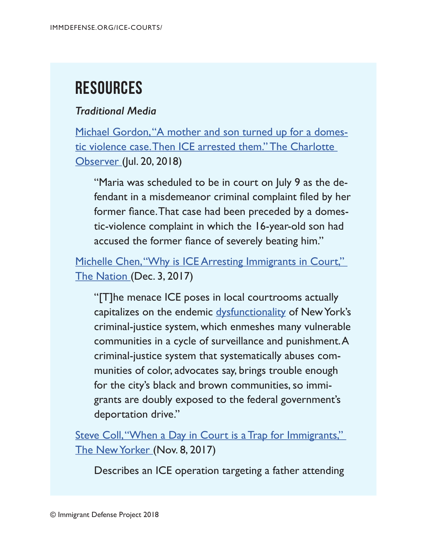## **Resources**

### *Traditional Media*

[Michael Gordon, "A mother and son turned up for a domes](https://www.charlotteobserver.com/news/local/crime/article215232500.html)[tic violence case. Then ICE arrested them." The Charlotte](https://www.charlotteobserver.com/news/local/crime/article215232500.html)  [Observer \(](https://www.charlotteobserver.com/news/local/crime/article215232500.html)Jul. 20, 2018)

"Maria was scheduled to be in court on July 9 as the defendant in a misdemeanor criminal complaint fled by her former fance. That case had been preceded by a domestic-violence complaint in which the 16-year-old son had accused the former fance of severely beating him."

Michelle Chen, "Why is ICE Arresting Immigrants in Court," [The Nation](https://www.thenation.com/article/why-is-ice-arresting-immigrants-in-new-york-citys-courts/) (Dec. 3, 2017)

"[T]he menace ICE poses in local courtrooms actually capitalizes on the endemic [dysfunctionality](https://www.nytimes.com/2017/02/15/opinion/sanctuary-cities-in-name-only.html?_r=1) of New York's criminal-justice system, which enmeshes many vulnerable communities in a cycle of surveillance and punishment. A criminal-justice system that systematically abuses communities of color, advocates say, brings trouble enough for the city's black and brown communities, so immigrants are doubly exposed to the federal government's deportation drive."

Steve Coll, "When a Day in Court is a Trap for Immigrants," [The New Yorker](https://www.newyorker.com/news/daily-comment/when-a-day-in-court-is-a-trap-for-immigrants) (Nov. 8, 2017)

Describes an ICE operation targeting a father attending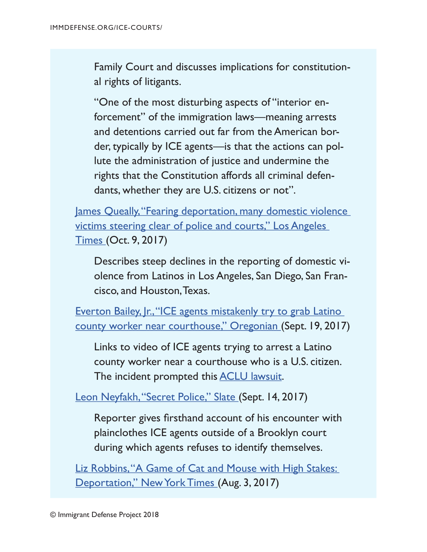Family Court and discusses implications for constitutional rights of litigants.

"One of the most disturbing aspects of "interior enforcement" of the immigration laws—meaning arrests and detentions carried out far from the American border, typically by ICE agents—is that the actions can pollute the administration of justice and undermine the rights that the Constitution affords all criminal defendants, whether they are U.S. citizens or not".

[James Queally, "Fearing deportation, many domestic violence](http://www.latimes.com/local/lanow/la-me-ln-undocumented-crime-reporting-20171009-story.html)  [victims steering clear of police and courts," Los Angeles](http://www.latimes.com/local/lanow/la-me-ln-undocumented-crime-reporting-20171009-story.html)  [Times \(](http://www.latimes.com/local/lanow/la-me-ln-undocumented-crime-reporting-20171009-story.html)Oct. 9, 2017)

Describes steep declines in the reporting of domestic violence from Latinos in Los Angeles, San Diego, San Francisco, and Houston, Texas.

Everton Bailey, Ir., "ICE agents mistakenly try to grab Latino [county worker near courthouse," Oregonian \(](https://www.oregonlive.com/hillsboro/index.ssf/2017/09/ice_mistakenly_tries_to_grab_l.html)Sept. 19, 2017)

Links to video of ICE agents trying to arrest a Latino county worker near a courthouse who is a U.S. citizen. The incident prompted this **ACLU** lawsuit.

[Leon Neyfakh, "Secret Police," Slate](http://www.slate.com/articles/news_and_politics/jurisprudence/2017/09/plainclothes_ice_agents_in_brooklyn_refused_to_identify_themselves.html) (Sept. 14, 2017)

Reporter gives frsthand account of his encounter with plainclothes ICE agents outside of a Brooklyn court during which agents refuses to identify themselves.

Liz Robbins, "A Game of Cat and Mouse with High Stakes: [Deportation," New York Times](https://www.nytimes.com/2017/08/03/nyregion/a-game-of-cat-and-mouse-with-high-stakes-deportation.html) (Aug. 3, 2017)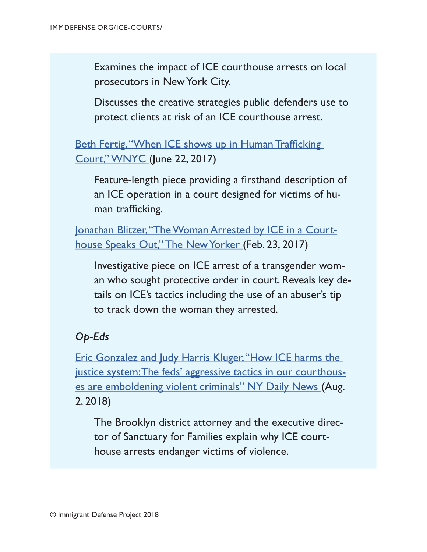Examines the impact of ICE courthouse arrests on local prosecutors in New York City.

Discusses the creative strategies public defenders use to protect clients at risk of an ICE courthouse arrest.

Beth Fertig, "When ICE shows up in Human Trafficking [Court," WNYC \(](http://www.wnyc.org/story/when-ice-shows-court/)June 22, 2017)

Feature-length piece providing a frsthand description of an ICE operation in a court designed for victims of human trafficking.

[Jonathan Blitzer, "The Woman Arrested by ICE in a Court](https://www.newyorker.com/news/news-desk/the-woman-arrested-by-ice-in-a-courthouse-speaks-out)[house Speaks Out," The New Yorker](https://www.newyorker.com/news/news-desk/the-woman-arrested-by-ice-in-a-courthouse-speaks-out) (Feb. 23, 2017)

Investigative piece on ICE arrest of a transgender woman who sought protective order in court. Reveals key details on ICE's tactics including the use of an abuser's tip to track down the woman they arrested.

### *Op-Eds*

[Eric Gonzalez and Judy Harris Kluger, "How ICE harms the](http://www.nydailynews.com/opinion/ny-oped-how-ice-harms-the-justice-system-20180801-story.html)  [justice system: The feds' aggressive tactics in our courthous](http://www.nydailynews.com/opinion/ny-oped-how-ice-harms-the-justice-system-20180801-story.html)[es are emboldening violent criminals" NY Daily News](http://www.nydailynews.com/opinion/ny-oped-how-ice-harms-the-justice-system-20180801-story.html) (Aug. 2, 2018)

The Brooklyn district attorney and the executive director of Sanctuary for Families explain why ICE courthouse arrests endanger victims of violence.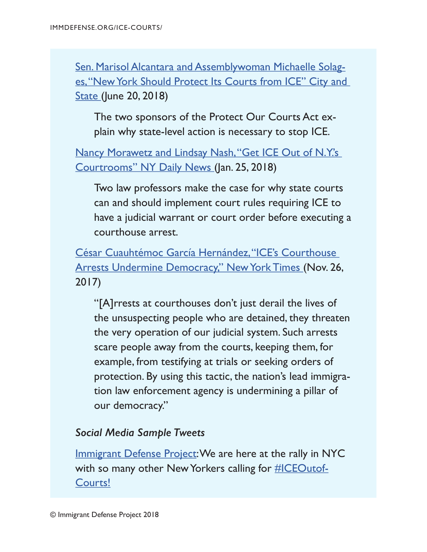[Sen. Marisol Alcantara and Assemblywoman Michaelle Solag](https://www.cityandstateny.com/articles/opinion/opinion/new-york-ice-protect-our-courts.html)[es, "New York Should Protect Its Courts from ICE" City and](https://www.cityandstateny.com/articles/opinion/opinion/new-york-ice-protect-our-courts.html)  [State \(](https://www.cityandstateny.com/articles/opinion/opinion/new-york-ice-protect-our-courts.html)June 20, 2018)

The two sponsors of the Protect Our Courts Act explain why state-level action is necessary to stop ICE.

[Nancy Morawetz and Lindsay Nash, "Get ICE Out of N.Y.'s](http://www.nydailynews.com/opinion/ice-n-y-s-courtrooms-article-1.3777389)  [Courtrooms" NY Daily News](http://www.nydailynews.com/opinion/ice-n-y-s-courtrooms-article-1.3777389) (Jan. 25, 2018)

Two law professors make the case for why state courts can and should implement court rules requiring ICE to have a judicial warrant or court order before executing a courthouse arrest.

[César Cuauhtémoc García Hernández, "ICE's Courthouse](https://www.nytimes.com/2017/11/26/opinion/immigration-ice-courthouse-trump.html)  [Arrests Undermine Democracy," New York Times](https://www.nytimes.com/2017/11/26/opinion/immigration-ice-courthouse-trump.html) (Nov. 26, 2017)

"[A]rrests at courthouses don't just derail the lives of the unsuspecting people who are detained, they threaten the very operation of our judicial system. Such arrests scare people away from the courts, keeping them, for example, from testifying at trials or seeking orders of protection. By using this tactic, the nation's lead immigration law enforcement agency is undermining a pillar of our democracy."

#### *Social Media Sample Tweets*

[Immigrant Defense Project:](https://twitter.com/ImmDefense/status/938835557630722048) We are here at the rally in NYC with so many other New Yorkers calling for **#ICEOutof-**[Courts!](https://twitter.com/hashtag/ICEOutofCourts?src=hash)